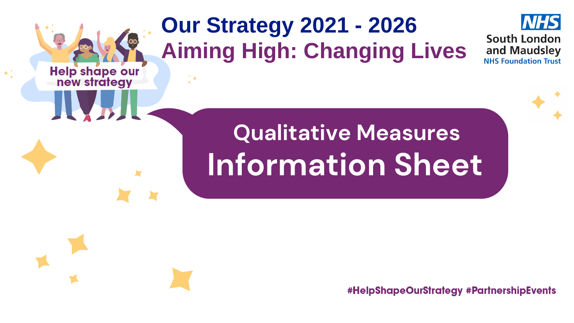# **Our Strategy 2021 - 2026 Aiming High: Changing Lives**

**Help shape our** new strategy

# **Qualitative Measures Information Sheet**





**#HelpShapeOurStrategy #PartnershipEvents**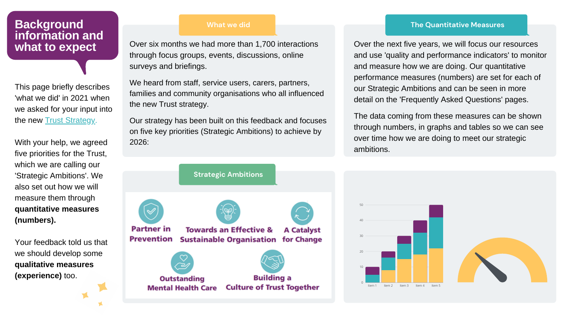## **Background Measures What we did The Quantitative Measures information and what to expect**

This page briefly describes 'what we did' in 2021 when we asked for your input into the new **Trust [Strategy](https://www.slam.nhs.uk/about-us/who-we-are/our-strategy/)**.

With your help, we agreed five priorities for the Trust, which we are calling our 'Strategic Ambitions'. We also set out how we will measure them through **quantitative measures (numbers).**

Your feedback told us that we should develop some **qualitative measures (experience)** too.

Over six months we had more than 1,700 interactions through focus groups, events, discussions, online surveys and briefings.

We heard from staff, service users, carers, partners, families and community organisations who all influenced the new Trust strategy.

Our strategy has been built on this feedback and focuses on five key priorities (Strategic Ambitions) to achieve by 2026:

Over the next five years, we will focus our resources and use 'quality and performance indicators' to monitor and measure how we are doing. Our quantitative performance measures (numbers) are set for each of our Strategic Ambitions and can be seen in more detail on the 'Frequently Asked Questions' pages.

The data coming from these measures can be shown through numbers, in graphs and tables so we can see over time how we are doing to meet our strategic ambitions.



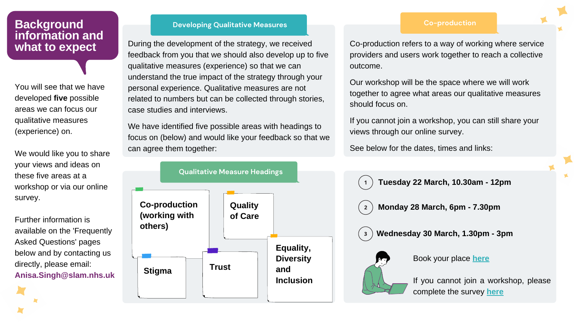During the development of the strategy, we received feedback from you that we should also develop up to five qualitative measures (experience) so that we can understand the true impact of the strategy through your personal experience. Qualitative measures are not related to numbers but can be collected through stories, case studies and interviews.

We have identified five possible areas with headings to focus on (below) and would like your feedback so that we can agree them together:

## **Background information and what to expect**

You will see that we have developed **five** possible areas we can focus our qualitative measures (experience) on.



We would like you to share your views and ideas on these five areas at a workshop or via our online survey.

Further information is available on the 'Frequently Asked Questions' pages below and by contacting us directly, please email: **[Anisa.Singh@slam.nhs.uk](mailto:anisa.singh@slam.nhs.uk)**

#### **Developing Qualitative Measures**

Co-production refers to a way of working where service providers and users work together to reach a collective outcome.

Our workshop will be the space where we will work together to agree what areas our qualitative measures should focus on.

If you cannot join a workshop, you can still share your views through our online survey.

See below for the dates, times and links:

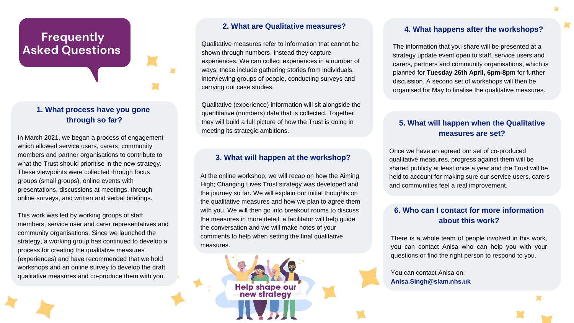**Frequently Asked Questions**

### **1. What process have you gone through so far?**

In March 2021, we began a process of engagement which allowed service users, carers, community members and partner organisations to contribute to what the Trust should prioritise in the new strategy. These viewpoints were collected through focus groups (small groups), online events with presentations, discussions at meetings, through online surveys, and written and verbal briefings.

This work was led by working groups of staff members, service user and carer representatives and community organisations. Since we launched the strategy, a working group has continued to develop a process for creating the qualitative measures (experiences) and have recommended that we hold workshops and an online survey to develop the draft qualitative measures and co-produce them with you.

#### **3. What will happen at the workshop?**

At the online workshop, we will recap on how the Aiming High; Changing Lives Trust strategy was developed and the journey so far. We will explain our initial thoughts on the qualitative measures and how we plan to agree them with you. We will then go into breakout rooms to discuss the measures in more detail, a facilitator will help guide the conversation and we will make notes of your comments to help when setting the final qualitative measures.

**Help shape our** 

#### **6. Who can I contact for more information about this work?**

There is a whole team of people involved in this work, you can contact Anisa who can help you with your questions or find the right person to respond to you.

You can contact Anisa on: **[Anisa.Singh@slam.nhs.uk](mailto:anisa.singh@slam.nhs.uk)**

# **Frequently Asked Questions**

#### **2. What are Qualitative measures?**

Qualitative measures refer to information that cannot be shown through numbers. Instead they capture experiences. We can collect experiences in a number of ways, these include gathering stories from individuals, interviewing groups of people, conducting surveys and carrying out case studies.

Qualitative (experience) information will sit alongside the quantitative (numbers) data that is collected. Together they will build a full picture of how the Trust is doing in meeting its strategic ambitions.

#### **5. What will happen when the Qualitative measures are set?**

Once we have an agreed our set of co-produced qualitative measures, progress against them will be shared publicly at least once a year and the Trust will be held to account for making sure our service users, carers and communities feel a real improvement.

#### **4. What happens after the workshops?**

The information that you share will be presented at a strategy update event open to staff, service users and carers, partners and community organisations, which is planned for **Tuesday 26th April, 6pm-8pm** for further discussion. A second set of workshops will then be organised for May to finalise the qualitative measures.